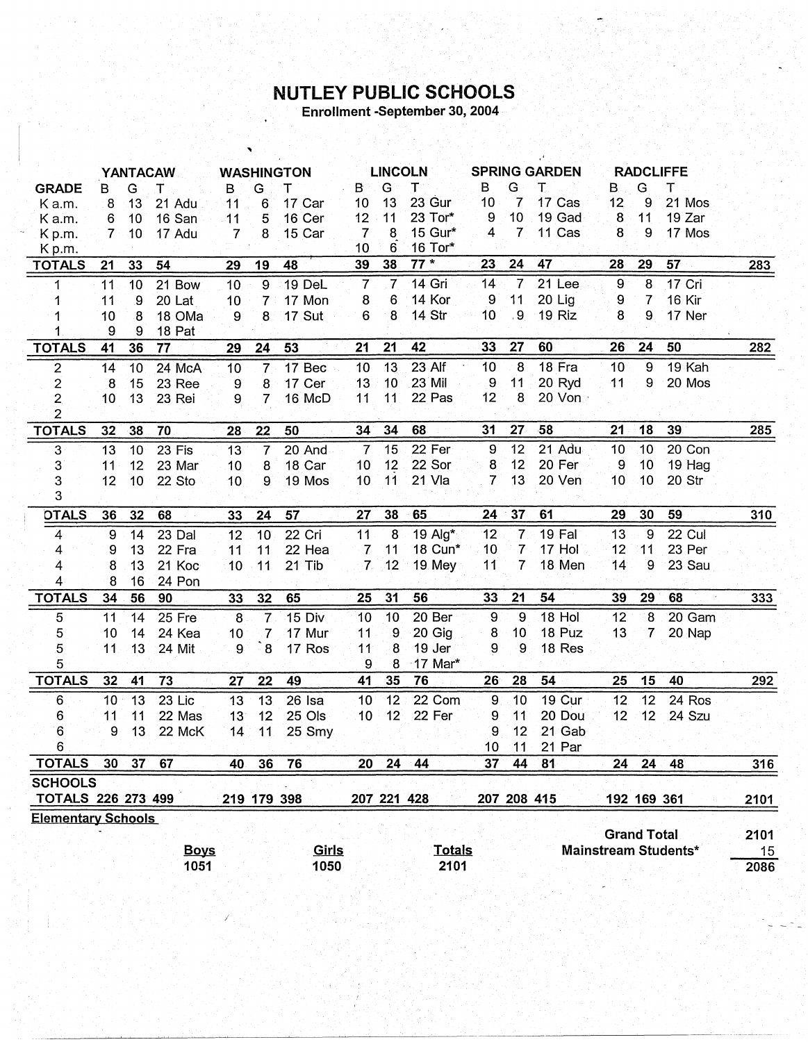## NUTLEY PUBLIC SCHOOLS

Enrollment -September 30, 2004

|                           | <b>YANTACAW</b> |    |             | <b>WASHINGTON</b> |                |               | <b>LINCOLN</b>  |                 |                        | <b>SPRING GARDEN</b> |                  |        | <b>RADCLIFFE</b> |                    |                      |      |
|---------------------------|-----------------|----|-------------|-------------------|----------------|---------------|-----------------|-----------------|------------------------|----------------------|------------------|--------|------------------|--------------------|----------------------|------|
| <b>GRADE</b>              | B.              | G  | т           | B                 | Ġ              | т             | B               | G               | $\mathsf T$ :          | в                    | G                | T      | B.               | G                  | т                    |      |
| K a.m.                    | 8               | 13 | 21 Adu      | $11^{\circ}$      | $6\phantom{1}$ | 17 Car        | 10              | 13              | 23 Gur                 | 10                   | 7                | 17 Cas | 12               | 9                  | 21 Mos               |      |
| K a.m.                    | 6               | 10 | 16 San      | 11                | 5              | 16 Cer        | 12 <sub>2</sub> | 11              | 23 Tor*                | 9                    | 10 <sub>1</sub>  | 19 Gad | $\bf{8}$         | 11                 | 19 Zar               |      |
| K <sub>p.m.</sub>         | $7 -$           | 10 | 17 Adu      | $\overline{7}$    | 8              | 15 Car        | $\mathbf{7}$    | 8               | 15 Gur*                | $\overline{A}$       | $\mathbf{7}$     | 11 Cas | 8                | 9                  | 17 Mos               |      |
| Kp.m.                     |                 |    |             |                   |                |               | 10              | 6               | 16 Tor*                |                      |                  |        |                  |                    |                      |      |
| <b>TOTALS</b>             | 21              | 33 | 54          | 29                | 19             | 48            | 39              | 38              | $77*$                  | 23                   | 24               | 47     | 28               | 29                 | 57                   | 283  |
| 1                         | $\overline{11}$ | 10 | 21 Bow      | 10                | $\overline{9}$ | 19 DeL        | $\overline{7}$  | $\overline{7}$  | 14 Gri                 | 14                   | $\overline{7}$   | 21 Lee | $\boldsymbol{9}$ | $\boldsymbol{8}$   | 17 Cri               |      |
| 1                         | 11              | 9  | 20 Lat      | 10                | 7              | 17 Mon        | 8               | 6               | 14 Kor                 | 9                    | 11               | 20 Lig | 9                | $\overline{7}$     | <b>16 Kir</b>        |      |
| 1                         | 10              | 8  | 18 OMa      | 9                 | 8              | <b>17 Sut</b> | 6               | 8               | 14 Str                 | 10 <sub>1</sub>      | 9 <sub>1</sub>   | 19 Riz | 8                | 9.                 | 17 Ner               |      |
| 1                         | 9               | 9  | 18 Pat      |                   |                |               |                 |                 |                        |                      |                  |        |                  |                    |                      |      |
| <b>TOTALS</b>             | 41              | 36 | 77          | 29                | 24             | 53            | 21              | 21              | 42                     | 33                   | 27               | 60     | 26               | 24                 | 50                   | 282  |
| $\overline{2}$            | 14              | 10 | 24 McA      | 10                | $\mathbf{7}$   | 17 Bec        | 10              | 13              | 23 Alf                 | 10                   | $\boldsymbol{8}$ | 18 Fra | 10               | 9                  | 19 Kah               |      |
| $\overline{2}$            | 8               | 15 | 23 Ree      | 9                 | 8              | 17 Cer        | 13              | 10              | 23 Mil                 | 9                    | 11               | 20 Ryd | 11               | 9                  | 20 Mos               |      |
| $\overline{2}$            | 10              | 13 | 23 Rei      | 9                 | $\overline{7}$ | 16 McD        | 11              | 11              | 22 Pas                 | 12                   | 8                | 20 Von |                  |                    |                      |      |
| $\overline{2}$            |                 |    |             |                   |                |               |                 |                 |                        |                      |                  |        |                  |                    |                      |      |
| <b>TOTALS</b>             | 32              | 38 | 70          | 28                | 22             | 50            | 34              | 34              | 68                     | 31                   | 27               | 58     | 21               | 18                 | 39                   | 285  |
| $\overline{3}$            | $\overline{13}$ | 10 | 23 Fis      | 13                | $\overline{7}$ | 20 And        | $\overline{7}$  | 15              | 22 Fer                 | 9                    | 12               | 21 Adu | 10               | 10                 | 20 Con               |      |
| $3^{\circ}$               | 11              | 12 | 23 Mar      | 10                | 8              | 18 Car        | 10 <sup>°</sup> | 12              | 22 Sor                 | $\boldsymbol{8}$     | 12               | 20 Fer | $\overline{9}$   | 10                 | 19 Hag               |      |
| 3                         | 12              | 10 | 22 Sto      | 10                | 9              | 19 Mos        | 10 <sub>1</sub> | 11              | 21 Vla                 | $\overline{7}$       | 13               | 20 Ven | 10 <sup>°</sup>  | 10                 | 20 Str               |      |
| 3                         |                 |    |             |                   |                |               |                 |                 |                        |                      |                  |        |                  |                    |                      |      |
| <b>OTALS</b>              | 36              | 32 | 68          | 33                | 24             | 57            | 27              | 38              | 65                     | 24                   | 37               | 61     | 29               | 30                 | 59                   | 310  |
| $\overline{4}$            | 9               | 14 | 23 Dal      | 12                | 10             | 22 Cri        | 11              | 8               | 19 Alg*                | 12 <sub>2</sub>      | $\overline{7}$   | 19 Fal | 13               | °9                 | 22 Cul               |      |
| 4                         | 9               | 13 | 22 Fra      | 11                | 11             | 22 Hea        | $\overline{7}$  | 11              | 18 Cun*                | 10                   | $\overline{7}$   | 17 Hol | 12               | 11                 | 23 Per               |      |
| 4                         | 8               | 13 | 21 Koc      | 10                | 11             | 21 Tib        | 7 <sup>1</sup>  | 12              | 19 Mey                 | 11                   | 7                | 18 Men | 14               | $\overline{9}$     | 23 Sau               |      |
| 4                         | 8               | 16 | 24 Pon      |                   |                |               |                 |                 |                        |                      |                  |        |                  |                    |                      |      |
| <b>TOTALS</b>             | 34              | 56 | 90          | 33                | 32             | 65            | 25              | 31              | 56                     | 33                   | 21               | 54     | 39               | 29                 | 68                   | 333  |
| 5                         | 11              | 14 | 25 Fre      | 8                 | $\overline{7}$ | <b>15 Div</b> | 10              | 10              | 20 Ber                 | $\overline{9}$       | 9                | 18 Hol | 12               | $\overline{8}$     | 20 Gam               |      |
| 5                         | 10              | 14 | 24 Kea      | 10                | 7              | 17 Mur        | 11              | $\overline{9}$  | 20 Gig                 | 8                    | 10               | 18 Puz | 13               | $\overline{7}$     | 20 Nap               |      |
| 5                         | 11              | 13 | 24 Mit      | 9                 | 8              | 17 Ros        | 11              | 8               | 19 Jer                 | 9                    | 9                | 18 Res |                  |                    |                      |      |
| 5                         |                 |    |             |                   |                |               | 9               | 8               | $-17$ Mar <sup>*</sup> |                      |                  |        |                  |                    |                      |      |
| <b>TOTALS</b>             | 32              | 41 | 73          | 27                | 22             | 49            | 41              | 35              | 76                     | 26 <sup>°</sup>      | 28               | 54     | 25               | 15                 | 40                   | 292  |
| $6\phantom{1}6$           | 10 <sub>1</sub> | 13 | 23 Lic      | 13                | 13             | $26$ Isa      | 10 <sub>1</sub> | 12 <sub>2</sub> | 22 Com                 | 9                    | 10               | 19 Cur | 12               | 12                 | 24 Ros               |      |
| 6                         | 11              | 11 | 22 Mas      | 13                | 12             | 25 Ols        | 10 <sup>1</sup> | 12 <sup>1</sup> | 22 Fer                 | 9                    | 11               | 20 Dou | 12               | 12 <sub>2</sub>    | 24 Szu               |      |
| 6                         | 9               | 13 | 22 McK      | 14                | 11             | 25 Smy        |                 |                 |                        | 9                    | 12               | 21 Gab |                  |                    |                      |      |
| $6\phantom{.}$            |                 |    |             |                   |                |               |                 |                 |                        | 10 <sub>1</sub>      | $11 -$           | 21 Par |                  |                    |                      |      |
| <b>TOTALS</b>             | 30              | 37 | 67          | 40                | 36             | 76            | 20 <sup>2</sup> | 24              | 44                     | 37                   | 44               | 81     | 24               | 24                 | 48                   | 316  |
| <b>SCHOOLS</b>            |                 |    |             |                   |                |               |                 |                 |                        |                      |                  |        |                  |                    |                      |      |
| <b>TOTALS 226 273 499</b> |                 |    |             |                   |                | 219 179 398   |                 |                 | 207 221 428            |                      | 207 208 415      |        |                  | 192 169 361        |                      | 2101 |
| <b>Elementary Schools</b> |                 |    |             |                   |                |               |                 |                 |                        |                      |                  |        |                  |                    |                      |      |
|                           |                 |    |             |                   |                |               |                 |                 |                        |                      |                  |        |                  | <b>Grand Total</b> |                      | 2101 |
|                           |                 |    | <u>Boys</u> |                   |                | Girls         |                 |                 | <b>Totals</b>          |                      |                  |        |                  |                    | Mainstream Students* | 15   |
|                           |                 |    | 1051        |                   |                | 1050          |                 |                 | 2101                   |                      |                  |        |                  |                    |                      | 2086 |